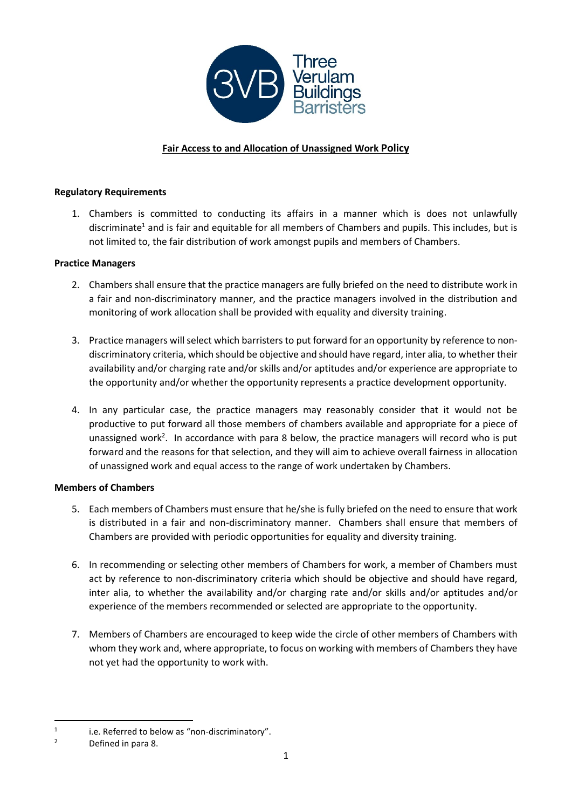

# **Fair Access to and Allocation of Unassigned Work Policy**

### **Regulatory Requirements**

1. Chambers is committed to conducting its affairs in a manner which is does not unlawfully discriminate<sup>1</sup> and is fair and equitable for all members of Chambers and pupils. This includes, but is not limited to, the fair distribution of work amongst pupils and members of Chambers.

### **Practice Managers**

- 2. Chambers shall ensure that the practice managers are fully briefed on the need to distribute work in a fair and non-discriminatory manner, and the practice managers involved in the distribution and monitoring of work allocation shall be provided with equality and diversity training.
- 3. Practice managers will select which barristers to put forward for an opportunity by reference to nondiscriminatory criteria, which should be objective and should have regard, inter alia, to whether their availability and/or charging rate and/or skills and/or aptitudes and/or experience are appropriate to the opportunity and/or whether the opportunity represents a practice development opportunity.
- 4. In any particular case, the practice managers may reasonably consider that it would not be productive to put forward all those members of chambers available and appropriate for a piece of unassigned work<sup>2</sup>. In accordance with para 8 below, the practice managers will record who is put forward and the reasons for that selection, and they will aim to achieve overall fairness in allocation of unassigned work and equal access to the range of work undertaken by Chambers.

## **Members of Chambers**

- 5. Each members of Chambers must ensure that he/she is fully briefed on the need to ensure that work is distributed in a fair and non-discriminatory manner. Chambers shall ensure that members of Chambers are provided with periodic opportunities for equality and diversity training.
- 6. In recommending or selecting other members of Chambers for work, a member of Chambers must act by reference to non-discriminatory criteria which should be objective and should have regard, inter alia, to whether the availability and/or charging rate and/or skills and/or aptitudes and/or experience of the members recommended or selected are appropriate to the opportunity.
- 7. Members of Chambers are encouraged to keep wide the circle of other members of Chambers with whom they work and, where appropriate, to focus on working with members of Chambers they have not yet had the opportunity to work with.

<sup>1</sup> i.e. Referred to below as "non-discriminatory".

<sup>2</sup> Defined in para 8.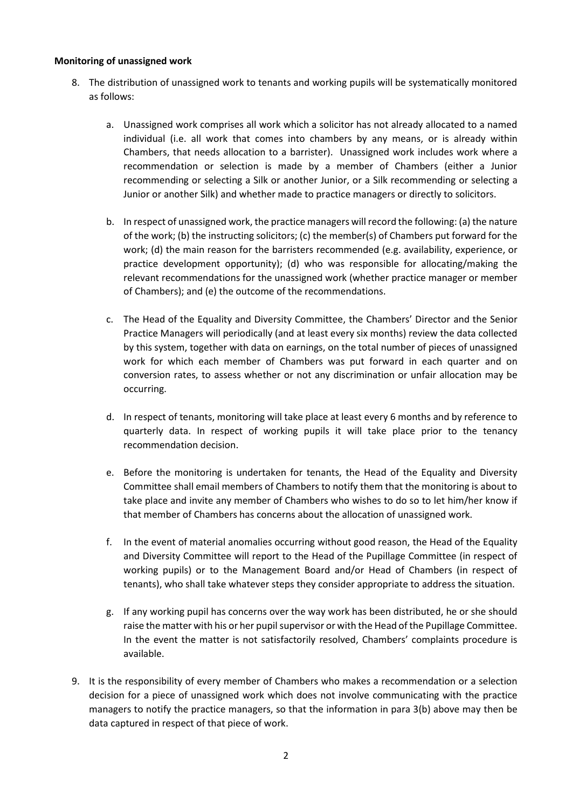#### **Monitoring of unassigned work**

- 8. The distribution of unassigned work to tenants and working pupils will be systematically monitored as follows:
	- a. Unassigned work comprises all work which a solicitor has not already allocated to a named individual (i.e. all work that comes into chambers by any means, or is already within Chambers, that needs allocation to a barrister). Unassigned work includes work where a recommendation or selection is made by a member of Chambers (either a Junior recommending or selecting a Silk or another Junior, or a Silk recommending or selecting a Junior or another Silk) and whether made to practice managers or directly to solicitors.
	- b. In respect of unassigned work, the practice managers will record the following: (a) the nature of the work; (b) the instructing solicitors; (c) the member(s) of Chambers put forward for the work; (d) the main reason for the barristers recommended (e.g. availability, experience, or practice development opportunity); (d) who was responsible for allocating/making the relevant recommendations for the unassigned work (whether practice manager or member of Chambers); and (e) the outcome of the recommendations.
	- c. The Head of the Equality and Diversity Committee, the Chambers' Director and the Senior Practice Managers will periodically (and at least every six months) review the data collected by this system, together with data on earnings, on the total number of pieces of unassigned work for which each member of Chambers was put forward in each quarter and on conversion rates, to assess whether or not any discrimination or unfair allocation may be occurring.
	- d. In respect of tenants, monitoring will take place at least every 6 months and by reference to quarterly data. In respect of working pupils it will take place prior to the tenancy recommendation decision.
	- e. Before the monitoring is undertaken for tenants, the Head of the Equality and Diversity Committee shall email members of Chambers to notify them that the monitoring is about to take place and invite any member of Chambers who wishes to do so to let him/her know if that member of Chambers has concerns about the allocation of unassigned work.
	- f. In the event of material anomalies occurring without good reason, the Head of the Equality and Diversity Committee will report to the Head of the Pupillage Committee (in respect of working pupils) or to the Management Board and/or Head of Chambers (in respect of tenants), who shall take whatever steps they consider appropriate to address the situation.
	- g. If any working pupil has concerns over the way work has been distributed, he or she should raise the matter with his or her pupil supervisor or with the Head of the Pupillage Committee. In the event the matter is not satisfactorily resolved, Chambers' complaints procedure is available.
- 9. It is the responsibility of every member of Chambers who makes a recommendation or a selection decision for a piece of unassigned work which does not involve communicating with the practice managers to notify the practice managers, so that the information in para 3(b) above may then be data captured in respect of that piece of work.